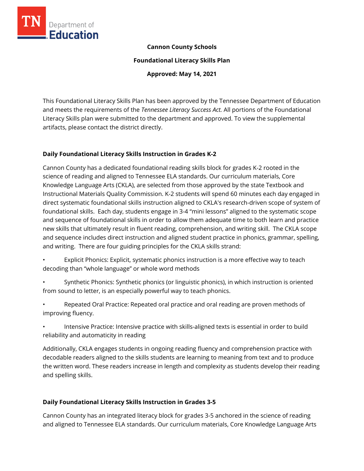

## **Cannon County Schools**

**Foundational Literacy Skills Plan**

**Approved: May 14, 2021**

This Foundational Literacy Skills Plan has been approved by the Tennessee Department of Education and meets the requirements of the *Tennessee Literacy Success Act.* All portions of the Foundational Literacy Skills plan were submitted to the department and approved. To view the supplemental artifacts, please contact the district directly.

## **Daily Foundational Literacy Skills Instruction in Grades K-2**

Cannon County has a dedicated foundational reading skills block for grades K-2 rooted in the science of reading and aligned to Tennessee ELA standards. Our curriculum materials, Core Knowledge Language Arts (CKLA), are selected from those approved by the state Textbook and Instructional Materials Quality Commission. K-2 students will spend 60 minutes each day engaged in direct systematic foundational skills instruction aligned to CKLA's research-driven scope of system of foundational skills. Each day, students engage in 3-4 "mini lessons" aligned to the systematic scope and sequence of foundational skills in order to allow them adequate time to both learn and practice new skills that ultimately result in fluent reading, comprehension, and writing skill. The CKLA scope and sequence includes direct instruction and aligned student practice in phonics, grammar, spelling, and writing. There are four guiding principles for the CKLA skills strand:

- Explicit Phonics: Explicit, systematic phonics instruction is a more effective way to teach decoding than "whole language" or whole word methods
- Synthetic Phonics: Synthetic phonics (or linguistic phonics), in which instruction is oriented from sound to letter, is an especially powerful way to teach phonics.
- Repeated Oral Practice: Repeated oral practice and oral reading are proven methods of improving fluency.
- Intensive Practice: Intensive practice with skills-aligned texts is essential in order to build reliability and automaticity in reading

Additionally, CKLA engages students in ongoing reading fluency and comprehension practice with decodable readers aligned to the skills students are learning to meaning from text and to produce the written word. These readers increase in length and complexity as students develop their reading and spelling skills.

# **Daily Foundational Literacy Skills Instruction in Grades 3-5**

Cannon County has an integrated literacy block for grades 3-5 anchored in the science of reading and aligned to Tennessee ELA standards. Our curriculum materials, Core Knowledge Language Arts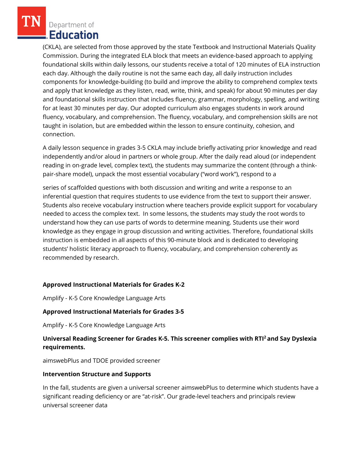(CKLA), are selected from those approved by the state Textbook and Instructional Materials Quality Commission. During the integrated ELA block that meets an evidence-based approach to applying foundational skills within daily lessons, our students receive a total of 120 minutes of ELA instruction each day. Although the daily routine is not the same each day, all daily instruction includes components for knowledge-building (to build and improve the ability to comprehend complex texts and apply that knowledge as they listen, read, write, think, and speak) for about 90 minutes per day and foundational skills instruction that includes fluency, grammar, morphology, spelling, and writing for at least 30 minutes per day. Our adopted curriculum also engages students in work around fluency, vocabulary, and comprehension. The fluency, vocabulary, and comprehension skills are not taught in isolation, but are embedded within the lesson to ensure continuity, cohesion, and connection.

A daily lesson sequence in grades 3-5 CKLA may include briefly activating prior knowledge and read independently and/or aloud in partners or whole group. After the daily read aloud (or independent reading in on-grade level, complex text), the students may summarize the content (through a thinkpair-share model), unpack the most essential vocabulary ("word work"), respond to a

series of scaffolded questions with both discussion and writing and write a response to an inferential question that requires students to use evidence from the text to support their answer. Students also receive vocabulary instruction where teachers provide explicit support for vocabulary needed to access the complex text. In some lessons, the students may study the root words to understand how they can use parts of words to determine meaning. Students use their word knowledge as they engage in group discussion and writing activities. Therefore, foundational skills instruction is embedded in all aspects of this 90-minute block and is dedicated to developing students' holistic literacy approach to fluency, vocabulary, and comprehension coherently as recommended by research.

## **Approved Instructional Materials for Grades K-2**

Amplify - K-5 Core Knowledge Language Arts

## **Approved Instructional Materials for Grades 3-5**

Amplify - K-5 Core Knowledge Language Arts

## **Universal Reading Screener for Grades K-5. This screener complies with RTI<sup>2</sup>and Say Dyslexia requirements.**

aimswebPlus and TDOE provided screener

#### **Intervention Structure and Supports**

In the fall, students are given a universal screener aimswebPlus to determine which students have a significant reading deficiency or are "at-risk". Our grade-level teachers and principals review universal screener data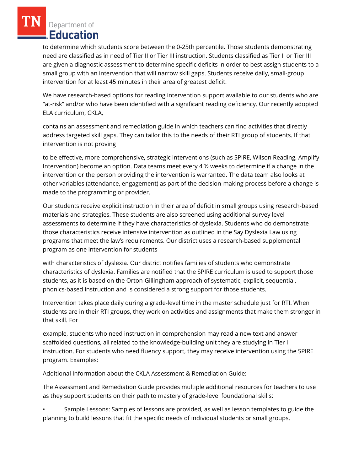to determine which students score between the 0-25th percentile. Those students demonstrating need are classified as in need of Tier II or Tier III instruction. Students classified as Tier II or Tier III are given a diagnostic assessment to determine specific deficits in order to best assign students to a small group with an intervention that will narrow skill gaps. Students receive daily, small-group intervention for at least 45 minutes in their area of greatest deficit.

We have research-based options for reading intervention support available to our students who are "at-risk" and/or who have been identified with a significant reading deficiency. Our recently adopted ELA curriculum, CKLA,

contains an assessment and remediation guide in which teachers can find activities that directly address targeted skill gaps. They can tailor this to the needs of their RTI group of students. If that intervention is not proving

to be effective, more comprehensive, strategic interventions (such as SPIRE, Wilson Reading, Amplify Intervention) become an option. Data teams meet every 4 ½ weeks to determine if a change in the intervention or the person providing the intervention is warranted. The data team also looks at other variables (attendance, engagement) as part of the decision-making process before a change is made to the programming or provider.

Our students receive explicit instruction in their area of deficit in small groups using research-based materials and strategies. These students are also screened using additional survey level assessments to determine if they have characteristics of dyslexia. Students who do demonstrate those characteristics receive intensive intervention as outlined in the Say Dyslexia Law using programs that meet the law's requirements. Our district uses a research-based supplemental program as one intervention for students

with characteristics of dyslexia. Our district notifies families of students who demonstrate characteristics of dyslexia. Families are notified that the SPIRE curriculum is used to support those students, as it is based on the Orton-Gillingham approach of systematic, explicit, sequential, phonics-based instruction and is considered a strong support for those students.

Intervention takes place daily during a grade-level time in the master schedule just for RTI. When students are in their RTI groups, they work on activities and assignments that make them stronger in that skill. For

example, students who need instruction in comprehension may read a new text and answer scaffolded questions, all related to the knowledge-building unit they are studying in Tier I instruction. For students who need fluency support, they may receive intervention using the SPIRE program. Examples:

Additional Information about the CKLA Assessment & Remediation Guide:

The Assessment and Remediation Guide provides multiple additional resources for teachers to use as they support students on their path to mastery of grade-level foundational skills:

• Sample Lessons: Samples of lessons are provided, as well as lesson templates to guide the planning to build lessons that fit the specific needs of individual students or small groups.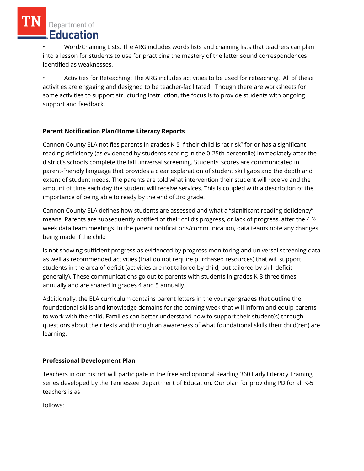• Word/Chaining Lists: The ARG includes words lists and chaining lists that teachers can plan into a lesson for students to use for practicing the mastery of the letter sound correspondences identified as weaknesses.

• Activities for Reteaching: The ARG includes activities to be used for reteaching. All of these activities are engaging and designed to be teacher-facilitated. Though there are worksheets for some activities to support structuring instruction, the focus is to provide students with ongoing support and feedback.

# **Parent Notification Plan/Home Literacy Reports**

Cannon County ELA notifies parents in grades K-5 if their child is "at-risk" for or has a significant reading deficiency (as evidenced by students scoring in the 0-25th percentile) immediately after the district's schools complete the fall universal screening. Students' scores are communicated in parent-friendly language that provides a clear explanation of student skill gaps and the depth and extent of student needs. The parents are told what intervention their student will receive and the amount of time each day the student will receive services. This is coupled with a description of the importance of being able to ready by the end of 3rd grade.

Cannon County ELA defines how students are assessed and what a "significant reading deficiency" means. Parents are subsequently notified of their child's progress, or lack of progress, after the 4 ½ week data team meetings. In the parent notifications/communication, data teams note any changes being made if the child

is not showing sufficient progress as evidenced by progress monitoring and universal screening data as well as recommended activities (that do not require purchased resources) that will support students in the area of deficit (activities are not tailored by child, but tailored by skill deficit generally). These communications go out to parents with students in grades K-3 three times annually and are shared in grades 4 and 5 annually.

Additionally, the ELA curriculum contains parent letters in the younger grades that outline the foundational skills and knowledge domains for the coming week that will inform and equip parents to work with the child. Families can better understand how to support their student(s) through questions about their texts and through an awareness of what foundational skills their child(ren) are learning.

# **Professional Development Plan**

Teachers in our district will participate in the free and optional Reading 360 Early Literacy Training series developed by the Tennessee Department of Education. Our plan for providing PD for all K-5 teachers is as

follows: